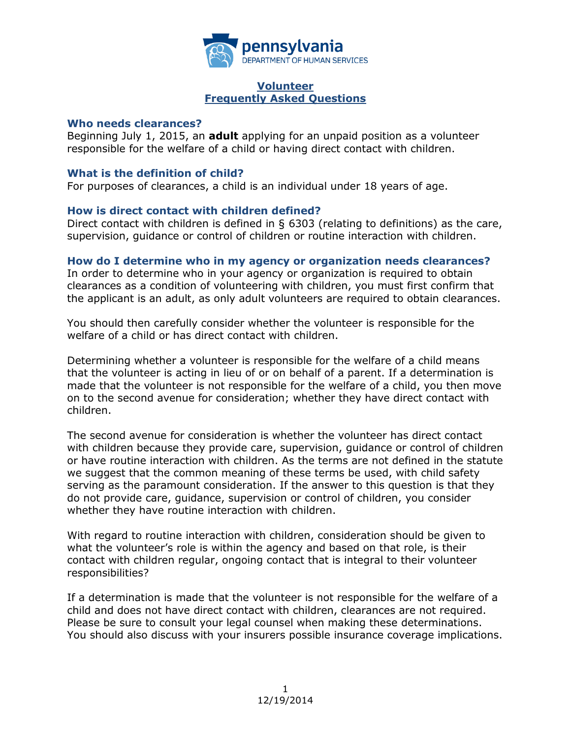

#### **Volunteer Frequently Asked Questions**

#### **Who needs clearances?**

Beginning July 1, 2015, an **adult** applying for an unpaid position as a volunteer responsible for the welfare of a child or having direct contact with children.

### **What is the definition of child?**

For purposes of clearances, a child is an individual under 18 years of age.

## **How is direct contact with children defined?**

Direct contact with children is defined in § 6303 (relating to definitions) as the care, supervision, guidance or control of children or routine interaction with children.

### **How do I determine who in my agency or organization needs clearances?**

In order to determine who in your agency or organization is required to obtain clearances as a condition of volunteering with children, you must first confirm that the applicant is an adult, as only adult volunteers are required to obtain clearances.

You should then carefully consider whether the volunteer is responsible for the welfare of a child or has direct contact with children.

Determining whether a volunteer is responsible for the welfare of a child means that the volunteer is acting in lieu of or on behalf of a parent. If a determination is made that the volunteer is not responsible for the welfare of a child, you then move on to the second avenue for consideration; whether they have direct contact with children.

The second avenue for consideration is whether the volunteer has direct contact with children because they provide care, supervision, guidance or control of children or have routine interaction with children. As the terms are not defined in the statute we suggest that the common meaning of these terms be used, with child safety serving as the paramount consideration. If the answer to this question is that they do not provide care, guidance, supervision or control of children, you consider whether they have routine interaction with children.

With regard to routine interaction with children, consideration should be given to what the volunteer's role is within the agency and based on that role, is their contact with children regular, ongoing contact that is integral to their volunteer responsibilities?

If a determination is made that the volunteer is not responsible for the welfare of a child and does not have direct contact with children, clearances are not required. Please be sure to consult your legal counsel when making these determinations. You should also discuss with your insurers possible insurance coverage implications.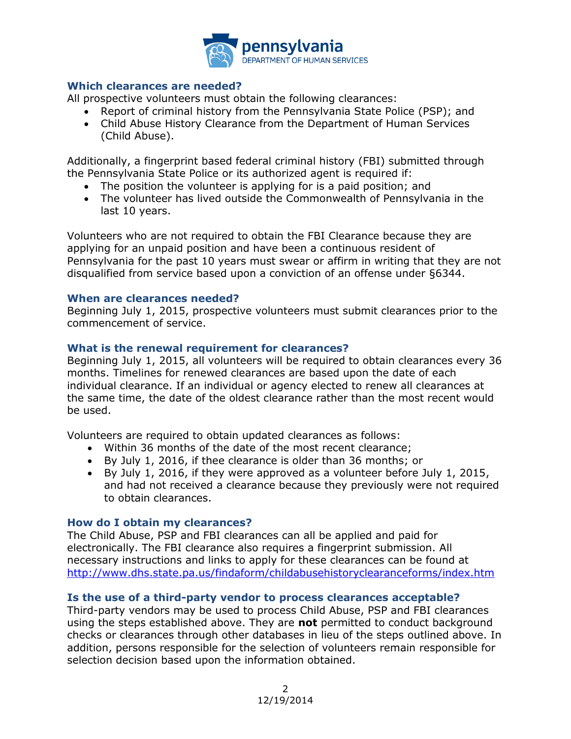

## **Which clearances are needed?**

All prospective volunteers must obtain the following clearances:

- Report of criminal history from the Pennsylvania State Police (PSP); and
- Child Abuse History Clearance from the Department of Human Services (Child Abuse).

Additionally, a fingerprint based federal criminal history (FBI) submitted through the Pennsylvania State Police or its authorized agent is required if:

- The position the volunteer is applying for is a paid position; and
- The volunteer has lived outside the Commonwealth of Pennsylvania in the last 10 years.

Volunteers who are not required to obtain the FBI Clearance because they are applying for an unpaid position and have been a continuous resident of Pennsylvania for the past 10 years must swear or affirm in writing that they are not disqualified from service based upon a conviction of an offense under §6344.

### **When are clearances needed?**

Beginning July 1, 2015, prospective volunteers must submit clearances prior to the commencement of service.

### **What is the renewal requirement for clearances?**

Beginning July 1, 2015, all volunteers will be required to obtain clearances every 36 months. Timelines for renewed clearances are based upon the date of each individual clearance. If an individual or agency elected to renew all clearances at the same time, the date of the oldest clearance rather than the most recent would be used.

Volunteers are required to obtain updated clearances as follows:

- Within 36 months of the date of the most recent clearance;
- By July 1, 2016, if thee clearance is older than 36 months; or
- By July 1, 2016, if they were approved as a volunteer before July 1, 2015, and had not received a clearance because they previously were not required to obtain clearances.

### **How do I obtain my clearances?**

The Child Abuse, PSP and FBI clearances can all be applied and paid for electronically. The FBI clearance also requires a fingerprint submission. All necessary instructions and links to apply for these clearances can be found at <http://www.dhs.state.pa.us/findaform/childabusehistoryclearanceforms/index.htm>

### **Is the use of a third-party vendor to process clearances acceptable?**

Third-party vendors may be used to process Child Abuse, PSP and FBI clearances using the steps established above. They are **not** permitted to conduct background checks or clearances through other databases in lieu of the steps outlined above. In addition, persons responsible for the selection of volunteers remain responsible for selection decision based upon the information obtained.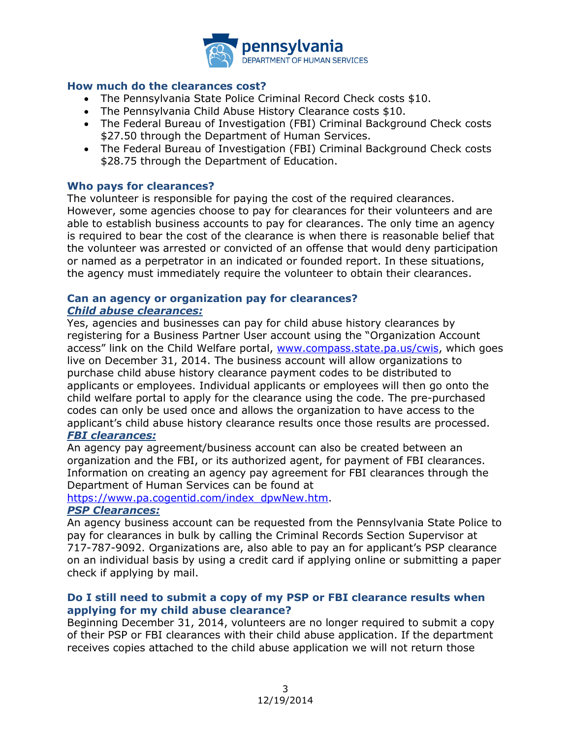

### **How much do the clearances cost?**

- The Pennsylvania State Police Criminal Record Check costs \$10.
- The Pennsylvania Child Abuse History Clearance costs \$10.
- The Federal Bureau of Investigation (FBI) Criminal Background Check costs \$27.50 through the Department of Human Services.
- The Federal Bureau of Investigation (FBI) Criminal Background Check costs \$28.75 through the Department of Education.

#### **Who pays for clearances?**

The volunteer is responsible for paying the cost of the required clearances. However, some agencies choose to pay for clearances for their volunteers and are able to establish business accounts to pay for clearances. The only time an agency is required to bear the cost of the clearance is when there is reasonable belief that the volunteer was arrested or convicted of an offense that would deny participation or named as a perpetrator in an indicated or founded report. In these situations, the agency must immediately require the volunteer to obtain their clearances.

### **Can an agency or organization pay for clearances?** *Child abuse clearances:*

Yes, agencies and businesses can pay for child abuse history clearances by registering for a Business Partner User account using the "Organization Account access" link on the Child Welfare portal, [www.compass.state.pa.us/cwis,](http://www.compass.state.pa.us/cwis) which goes live on December 31, 2014. The business account will allow organizations to purchase child abuse history clearance payment codes to be distributed to applicants or employees. Individual applicants or employees will then go onto the child welfare portal to apply for the clearance using the code. The pre-purchased codes can only be used once and allows the organization to have access to the applicant's child abuse history clearance results once those results are processed.

# *FBI clearances:*

An agency pay agreement/business account can also be created between an organization and the FBI, or its authorized agent, for payment of FBI clearances. Information on creating an agency pay agreement for FBI clearances through the Department of Human Services can be found at

[https://www.pa.cogentid.com/index\\_dpwNew.htm.](https://www.pa.cogentid.com/index_dpwNew.htm)

### *PSP Clearances:*

An agency business account can be requested from the Pennsylvania State Police to pay for clearances in bulk by calling the Criminal Records Section Supervisor at 717-787-9092. Organizations are, also able to pay an for applicant's PSP clearance on an individual basis by using a credit card if applying online or submitting a paper check if applying by mail.

## **Do I still need to submit a copy of my PSP or FBI clearance results when applying for my child abuse clearance?**

Beginning December 31, 2014, volunteers are no longer required to submit a copy of their PSP or FBI clearances with their child abuse application. If the department receives copies attached to the child abuse application we will not return those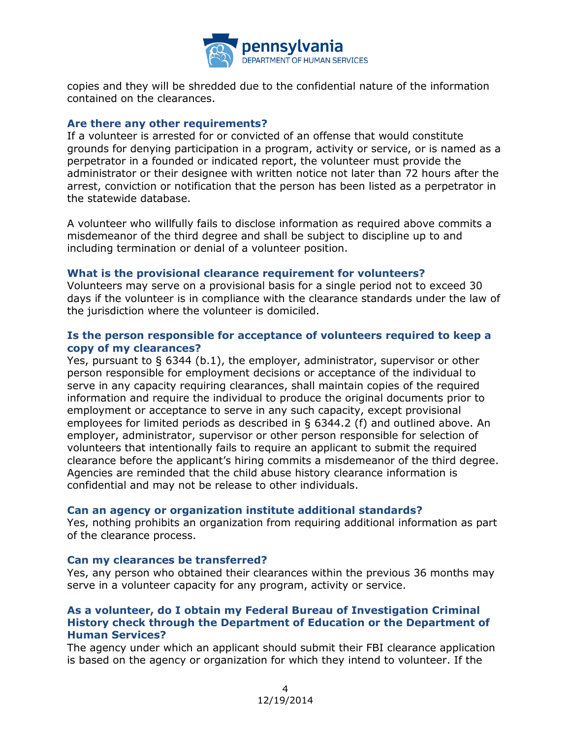

copies and they will be shredded due to the confidential nature of the information contained on the clearances.

#### **Are there any other requirements?**

If a volunteer is arrested for or convicted of an offense that would constitute grounds for denying participation in a program, activity or service, or is named as a perpetrator in a founded or indicated report, the volunteer must provide the administrator or their designee with written notice not later than 72 hours after the arrest, conviction or notification that the person has been listed as a perpetrator in the statewide database.

A volunteer who willfully fails to disclose information as required above commits a misdemeanor of the third degree and shall be subject to discipline up to and including termination or denial of a volunteer position.

### **What is the provisional clearance requirement for volunteers?**

Volunteers may serve on a provisional basis for a single period not to exceed 30 days if the volunteer is in compliance with the clearance standards under the law of the jurisdiction where the volunteer is domiciled.

### **Is the person responsible for acceptance of volunteers required to keep a copy of my clearances?**

Yes, pursuant to § 6344 (b.1), the employer, administrator, supervisor or other person responsible for employment decisions or acceptance of the individual to serve in any capacity requiring clearances, shall maintain copies of the required information and require the individual to produce the original documents prior to employment or acceptance to serve in any such capacity, except provisional employees for limited periods as described in § 6344.2 (f) and outlined above. An employer, administrator, supervisor or other person responsible for selection of volunteers that intentionally fails to require an applicant to submit the required clearance before the applicant's hiring commits a misdemeanor of the third degree. Agencies are reminded that the child abuse history clearance information is confidential and may not be release to other individuals.

#### **Can an agency or organization institute additional standards?**

Yes, nothing prohibits an organization from requiring additional information as part of the clearance process.

#### **Can my clearances be transferred?**

Yes, any person who obtained their clearances within the previous 36 months may serve in a volunteer capacity for any program, activity or service.

### **As a volunteer, do I obtain my Federal Bureau of Investigation Criminal History check through the Department of Education or the Department of Human Services?**

The agency under which an applicant should submit their FBI clearance application is based on the agency or organization for which they intend to volunteer. If the